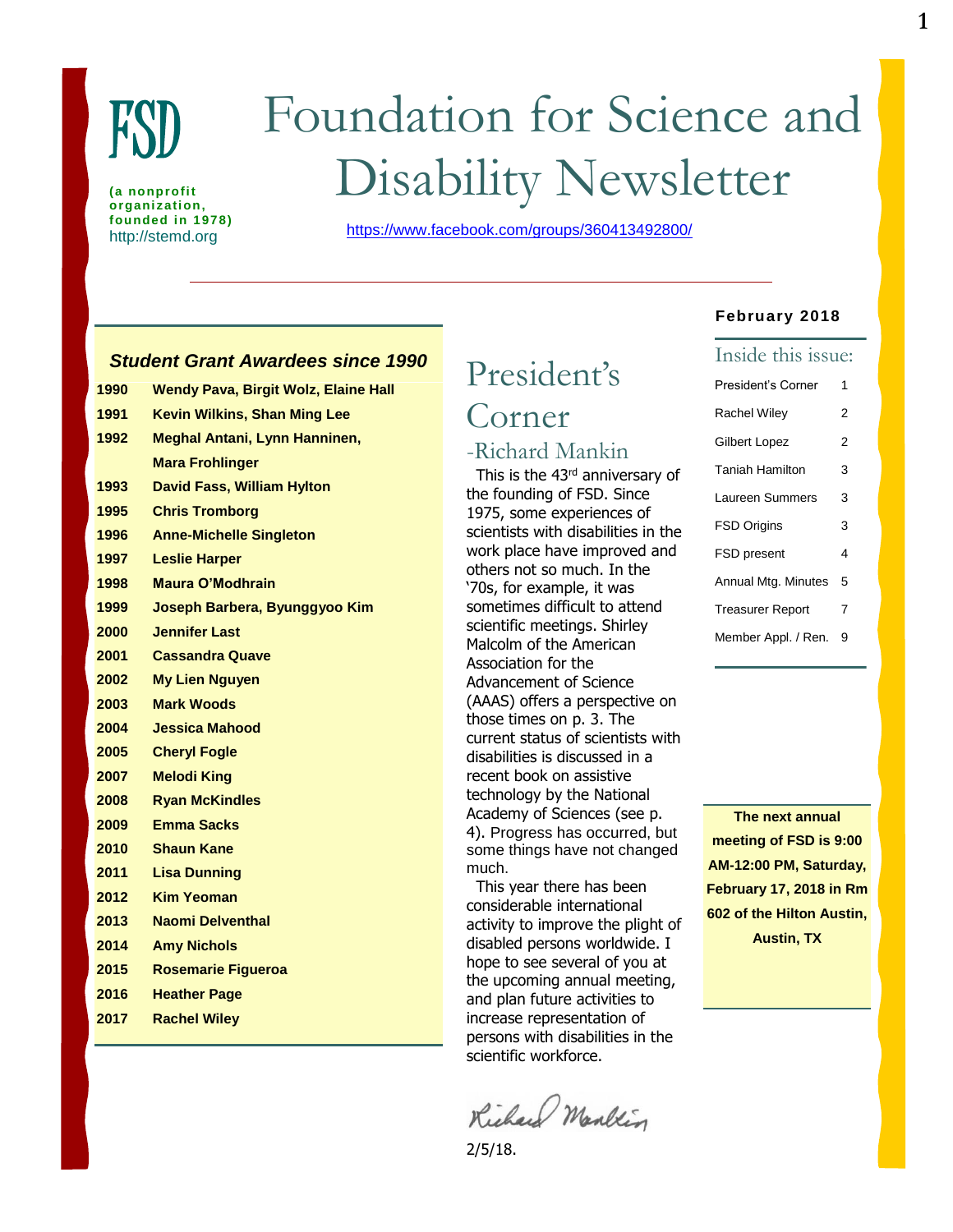

**(a nonprofit organization, founded in 1978)**

# Foundation for Science and Disability Newsletter

http://stemd.org <https://www.facebook.com/groups/360413492800/>

# *Student Grant Awardees since 1990*

| 1990 | <b>Wendy Pava, Birgit Wolz, Elaine Hall</b> |
|------|---------------------------------------------|
| 1991 | <b>Kevin Wilkins, Shan Ming Lee</b>         |
| 1992 | Meghal Antani, Lynn Hanninen,               |
|      | <b>Mara Frohlinger</b>                      |
| 1993 | <b>David Fass, William Hylton</b>           |
| 1995 | <b>Chris Tromborg</b>                       |
| 1996 | <b>Anne-Michelle Singleton</b>              |
| 1997 | <b>Leslie Harper</b>                        |
| 1998 | <b>Maura O'Modhrain</b>                     |
| 1999 | Joseph Barbera, Byunggyoo Kim               |
| 2000 | <b>Jennifer Last</b>                        |
| 2001 | <b>Cassandra Quave</b>                      |
| 2002 | <b>My Lien Nguyen</b>                       |
| 2003 | <b>Mark Woods</b>                           |
| 2004 | <b>Jessica Mahood</b>                       |
| 2005 | <b>Cheryl Fogle</b>                         |
| 2007 | <b>Melodi King</b>                          |
| 2008 | <b>Ryan McKindles</b>                       |
| 2009 | <b>Emma Sacks</b>                           |
| 2010 | <b>Shaun Kane</b>                           |
| 2011 | <b>Lisa Dunning</b>                         |
| 2012 | <b>Kim Yeoman</b>                           |
| 2013 | <b>Naomi Delventhal</b>                     |
| 2014 | <b>Amy Nichols</b>                          |
| 2015 | <b>Rosemarie Figueroa</b>                   |
| 2016 | <b>Heather Page</b>                         |
| 2017 | <b>Rachel Wilev</b>                         |

# President's Corner

# -Richard Mankin

 This is the 43rd anniversary of the founding of FSD. Since 1975, some experiences of scientists with disabilities in the work place have improved and others not so much. In the '70s, for example, it was sometimes difficult to attend scientific meetings. Shirley Malcolm of the American Association for the Advancement of Science (AAAS) offers a perspective on those times on p. 3. The current status of scientists with disabilities is discussed in a recent book on assistive technology by the National Academy of Sciences (see p. 4). Progress has occurred, but some things have not changed much.

 This year there has been considerable international activity to improve the plight of disabled persons worldwide. I hope to see several of you at the upcoming annual meeting, and plan future activities to increase representation of persons with disabilities in the scientific workforce.

Richard Mankin

2/5/18.

#### **February 2018**

| Inside this issue:      |   |
|-------------------------|---|
| President's Corner      | 1 |
| <b>Rachel Wiley</b>     | 2 |
| Gilbert Lopez           | 2 |
| <b>Taniah Hamilton</b>  | 3 |
| Laureen Summers         | 3 |
| <b>FSD Origins</b>      | 3 |
| <b>FSD</b> present      | 4 |
| Annual Mtg. Minutes     | 5 |
| <b>Treasurer Report</b> | 7 |
| Member Appl. / Ren.     | 9 |

**The next annual meeting of FSD is 9:00 AM-12:00 PM, Saturday, February 17, 2018 in Rm 602 of the Hilton Austin, Austin, TX**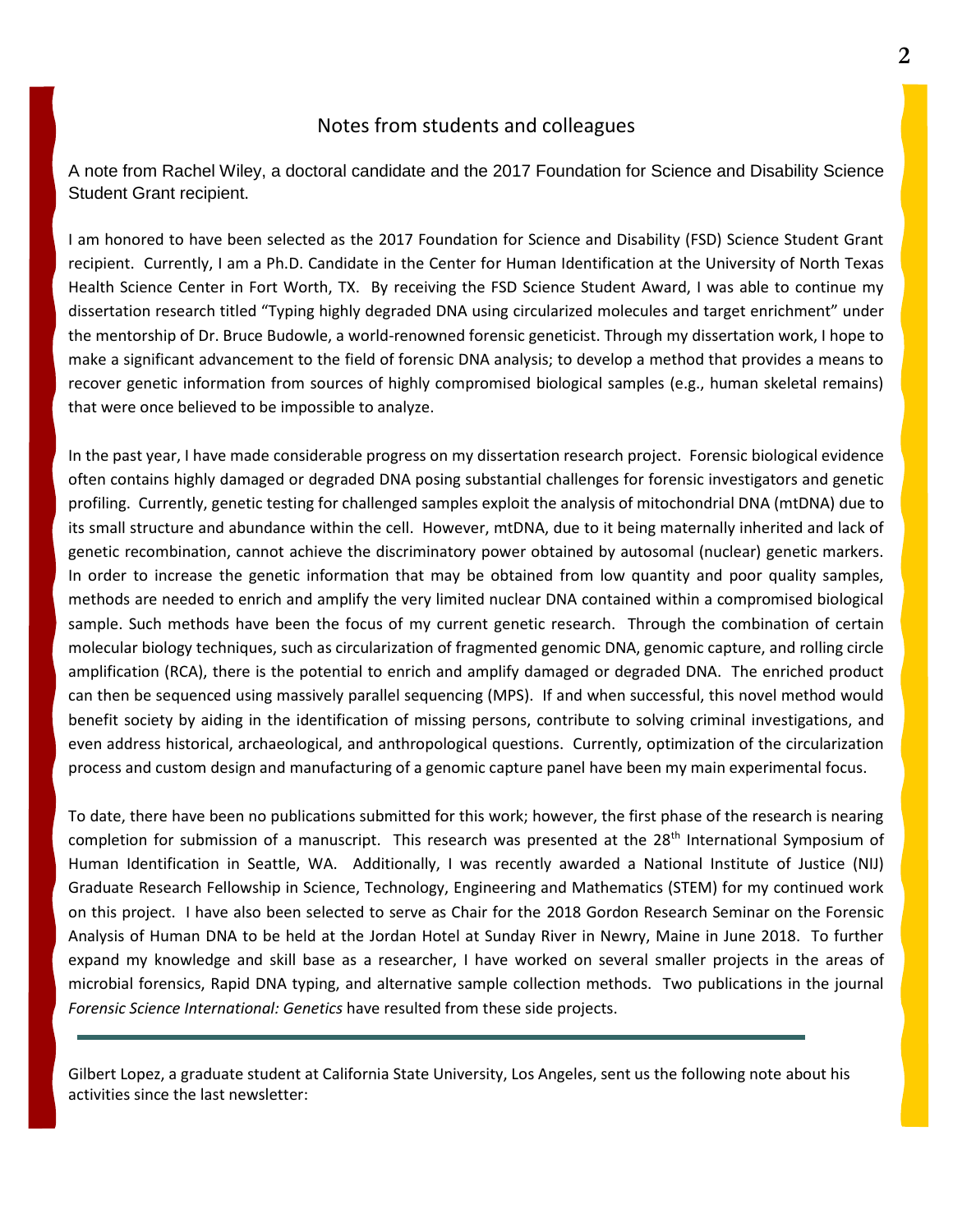## Notes from students and colleagues

A note from Rachel Wiley, a doctoral candidate and the 2017 Foundation for Science and Disability Science Student Grant recipient.

I am honored to have been selected as the 2017 Foundation for Science and Disability (FSD) Science Student Grant recipient. Currently, I am a Ph.D. Candidate in the Center for Human Identification at the University of North Texas Health Science Center in Fort Worth, TX. By receiving the FSD Science Student Award, I was able to continue my dissertation research titled "Typing highly degraded DNA using circularized molecules and target enrichment" under the mentorship of Dr. Bruce Budowle, a world-renowned forensic geneticist. Through my dissertation work, I hope to make a significant advancement to the field of forensic DNA analysis; to develop a method that provides a means to recover genetic information from sources of highly compromised biological samples (e.g., human skeletal remains) that were once believed to be impossible to analyze.

In the past year, I have made considerable progress on my dissertation research project. Forensic biological evidence often contains highly damaged or degraded DNA posing substantial challenges for forensic investigators and genetic profiling. Currently, genetic testing for challenged samples exploit the analysis of mitochondrial DNA (mtDNA) due to its small structure and abundance within the cell. However, mtDNA, due to it being maternally inherited and lack of genetic recombination, cannot achieve the discriminatory power obtained by autosomal (nuclear) genetic markers. In order to increase the genetic information that may be obtained from low quantity and poor quality samples, methods are needed to enrich and amplify the very limited nuclear DNA contained within a compromised biological sample. Such methods have been the focus of my current genetic research. Through the combination of certain molecular biology techniques, such as circularization of fragmented genomic DNA, genomic capture, and rolling circle amplification (RCA), there is the potential to enrich and amplify damaged or degraded DNA. The enriched product can then be sequenced using massively parallel sequencing (MPS). If and when successful, this novel method would benefit society by aiding in the identification of missing persons, contribute to solving criminal investigations, and even address historical, archaeological, and anthropological questions. Currently, optimization of the circularization process and custom design and manufacturing of a genomic capture panel have been my main experimental focus.

To date, there have been no publications submitted for this work; however, the first phase of the research is nearing completion for submission of a manuscript. This research was presented at the 28<sup>th</sup> International Symposium of Human Identification in Seattle, WA. Additionally, I was recently awarded a National Institute of Justice (NIJ) Graduate Research Fellowship in Science, Technology, Engineering and Mathematics (STEM) for my continued work on this project. I have also been selected to serve as Chair for the 2018 Gordon Research Seminar on the Forensic Analysis of Human DNA to be held at the Jordan Hotel at Sunday River in Newry, Maine in June 2018. To further expand my knowledge and skill base as a researcher, I have worked on several smaller projects in the areas of microbial forensics, Rapid DNA typing, and alternative sample collection methods. Two publications in the journal *Forensic Science International: Genetics* have resulted from these side projects.

Gilbert Lopez, a graduate student at California State University, Los Angeles, sent us the following note about his activities since the last newsletter: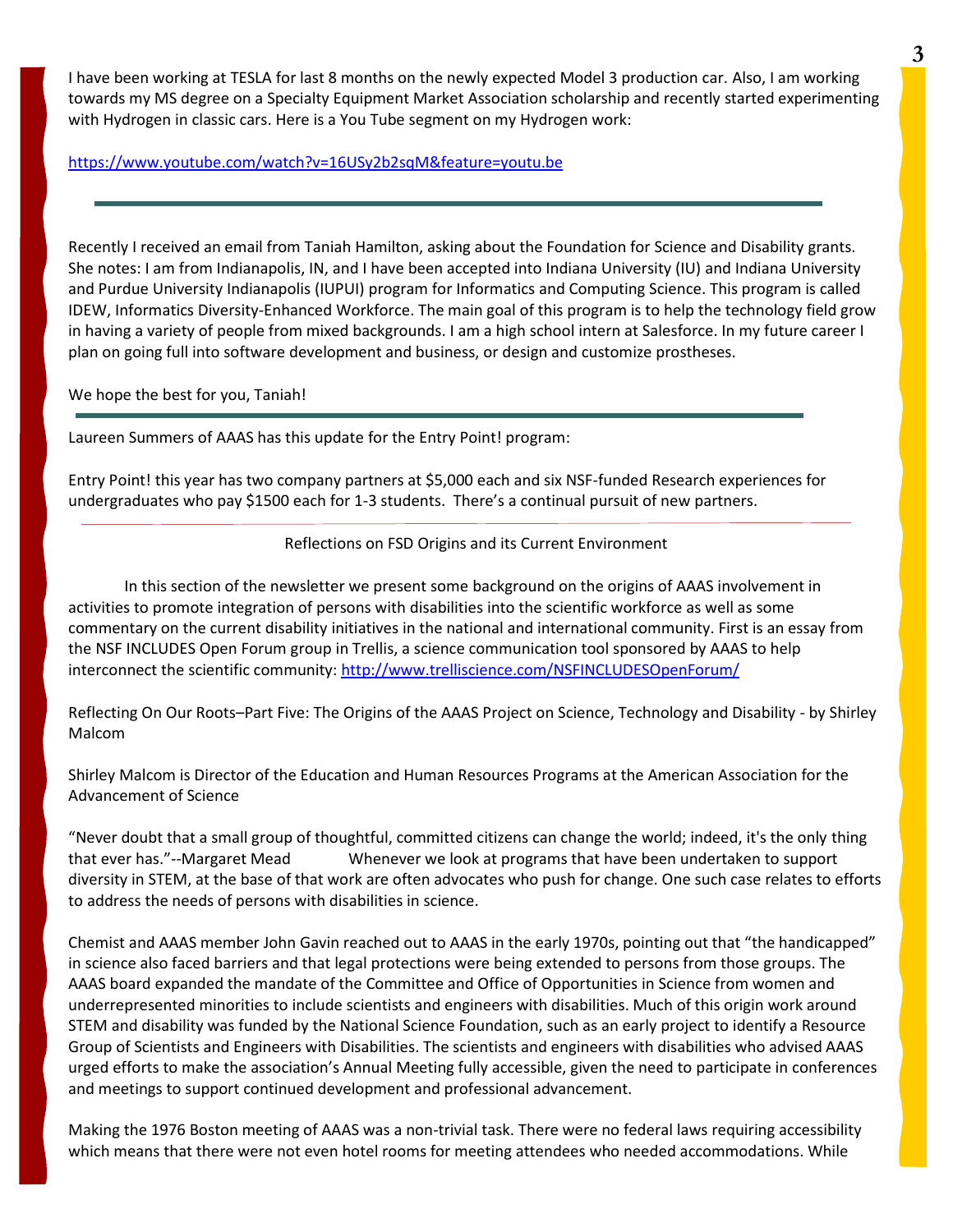I have been working at TESLA for last 8 months on the newly expected Model 3 production car. Also, I am working towards my MS degree on a Specialty Equipment Market Association scholarship and recently started experimenting with Hydrogen in classic cars. Here is a You Tube segment on my Hydrogen work:

#### <https://www.youtube.com/watch?v=16USy2b2sqM&feature=youtu.be>

Recently I received an email from Taniah Hamilton, asking about the Foundation for Science and Disability grants. She notes: I am from Indianapolis, IN, and I have been accepted into Indiana University (IU) and Indiana University and Purdue University Indianapolis (IUPUI) program for Informatics and Computing Science. This program is called IDEW, Informatics Diversity-Enhanced Workforce. The main goal of this program is to help the technology field grow in having a variety of people from mixed backgrounds. I am a high school intern at Salesforce. In my future career I plan on going full into software development and business, or design and customize prostheses.

We hope the best for you, Taniah!

Laureen Summers of AAAS has this update for the Entry Point! program:

Entry Point! this year has two company partners at \$5,000 each and six NSF-funded Research experiences for undergraduates who pay \$1500 each for 1-3 students. There's a continual pursuit of new partners.

Reflections on FSD Origins and its Current Environment

In this section of the newsletter we present some background on the origins of AAAS involvement in activities to promote integration of persons with disabilities into the scientific workforce as well as some commentary on the current disability initiatives in the national and international community. First is an essay from the NSF INCLUDES Open Forum group in Trellis, a science communication tool sponsored by AAAS to help interconnect the scientific community: <http://www.trelliscience.com/NSFINCLUDESOpenForum/>

Reflecting On Our Roots–Part Five: The Origins of the AAAS Project on Science, Technology and Disability - by Shirley Malcom

Shirley Malcom is Director of the Education and Human Resources Programs at the American Association for the Advancement of Science

"Never doubt that a small group of thoughtful, committed citizens can change the world; indeed, it's the only thing that ever has."--Margaret Mead Whenever we look at programs that have been undertaken to support diversity in STEM, at the base of that work are often advocates who push for change. One such case relates to efforts to address the needs of persons with disabilities in science.

Chemist and AAAS member John Gavin reached out to AAAS in the early 1970s, pointing out that "the handicapped" in science also faced barriers and that legal protections were being extended to persons from those groups. The AAAS board expanded the mandate of the Committee and Office of Opportunities in Science from women and underrepresented minorities to include scientists and engineers with disabilities. Much of this origin work around STEM and disability was funded by the National Science Foundation, such as an early project to identify a Resource Group of Scientists and Engineers with Disabilities. The scientists and engineers with disabilities who advised AAAS urged efforts to make the association's Annual Meeting fully accessible, given the need to participate in conferences and meetings to support continued development and professional advancement.

Making the 1976 Boston meeting of AAAS was a non-trivial task. There were no federal laws requiring accessibility which means that there were not even hotel rooms for meeting attendees who needed accommodations. While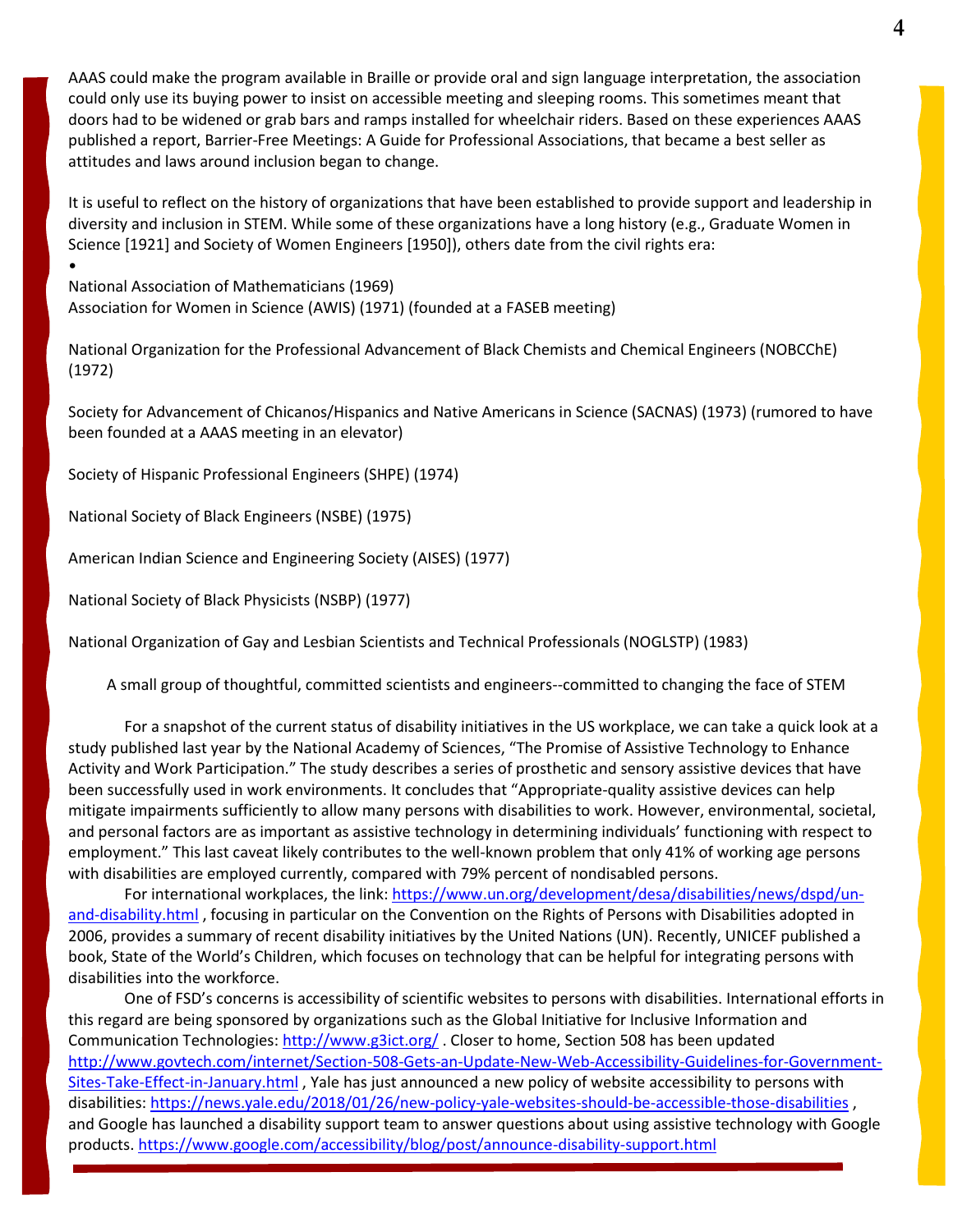AAAS could make the program available in Braille or provide oral and sign language interpretation, the association could only use its buying power to insist on accessible meeting and sleeping rooms. This sometimes meant that doors had to be widened or grab bars and ramps installed for wheelchair riders. Based on these experiences AAAS published a report, Barrier-Free Meetings: A Guide for Professional Associations, that became a best seller as attitudes and laws around inclusion began to change.

It is useful to reflect on the history of organizations that have been established to provide support and leadership in diversity and inclusion in STEM. While some of these organizations have a long history (e.g., Graduate Women in Science [1921] and Society of Women Engineers [1950]), others date from the civil rights era:

National Association of Mathematicians (1969) Association for Women in Science (AWIS) (1971) (founded at a FASEB meeting)

National Organization for the Professional Advancement of Black Chemists and Chemical Engineers (NOBCChE) (1972)

Society for Advancement of Chicanos/Hispanics and Native Americans in Science (SACNAS) (1973) (rumored to have been founded at a AAAS meeting in an elevator)

Society of Hispanic Professional Engineers (SHPE) (1974)

National Society of Black Engineers (NSBE) (1975)

•

American Indian Science and Engineering Society (AISES) (1977)

National Society of Black Physicists (NSBP) (1977)

National Organization of Gay and Lesbian Scientists and Technical Professionals (NOGLSTP) (1983)

A small group of thoughtful, committed scientists and engineers--committed to changing the face of STEM

For a snapshot of the current status of disability initiatives in the US workplace, we can take a quick look at a study published last year by the National Academy of Sciences, "The Promise of Assistive Technology to Enhance Activity and Work Participation." The study describes a series of prosthetic and sensory assistive devices that have been successfully used in work environments. It concludes that "Appropriate-quality assistive devices can help mitigate impairments sufficiently to allow many persons with disabilities to work. However, environmental, societal, and personal factors are as important as assistive technology in determining individuals' functioning with respect to employment." This last caveat likely contributes to the well-known problem that only 41% of working age persons with disabilities are employed currently, compared with 79% percent of nondisabled persons.

For international workplaces, the link: [https://www.un.org/development/desa/disabilities/news/dspd/un](https://www.un.org/development/desa/disabilities/news/dspd/un-and-disability.html)[and-disability.html](https://www.un.org/development/desa/disabilities/news/dspd/un-and-disability.html) , focusing in particular on the Convention on the Rights of Persons with Disabilities adopted in 2006, provides a summary of recent disability initiatives by the United Nations (UN). Recently, UNICEF published a book, State of the World's Children, which focuses on technology that can be helpful for integrating persons with disabilities into the workforce.

One of FSD's concerns is accessibility of scientific websites to persons with disabilities. International efforts in this regard are being sponsored by organizations such as the Global Initiative for Inclusive Information and Communication Technologies[: http://www.g3ict.org/](http://www.g3ict.org/) . Closer to home, Section 508 has been updated [http://www.govtech.com/internet/Section-508-Gets-an-Update-New-Web-Accessibility-Guidelines-for-Government-](http://www.govtech.com/internet/Section-508-Gets-an-Update-New-Web-Accessibility-Guidelines-for-Government-Sites-Take-Effect-in-January.html)[Sites-Take-Effect-in-January.html](http://www.govtech.com/internet/Section-508-Gets-an-Update-New-Web-Accessibility-Guidelines-for-Government-Sites-Take-Effect-in-January.html) , Yale has just announced a new policy of website accessibility to persons with disabilities[: https://news.yale.edu/2018/01/26/new-policy-yale-websites-should-be-accessible-those-disabilities](https://news.yale.edu/2018/01/26/new-policy-yale-websites-should-be-accessible-those-disabilities) , and Google has launched a disability support team to answer questions about using assistive technology with Google products.<https://www.google.com/accessibility/blog/post/announce-disability-support.html>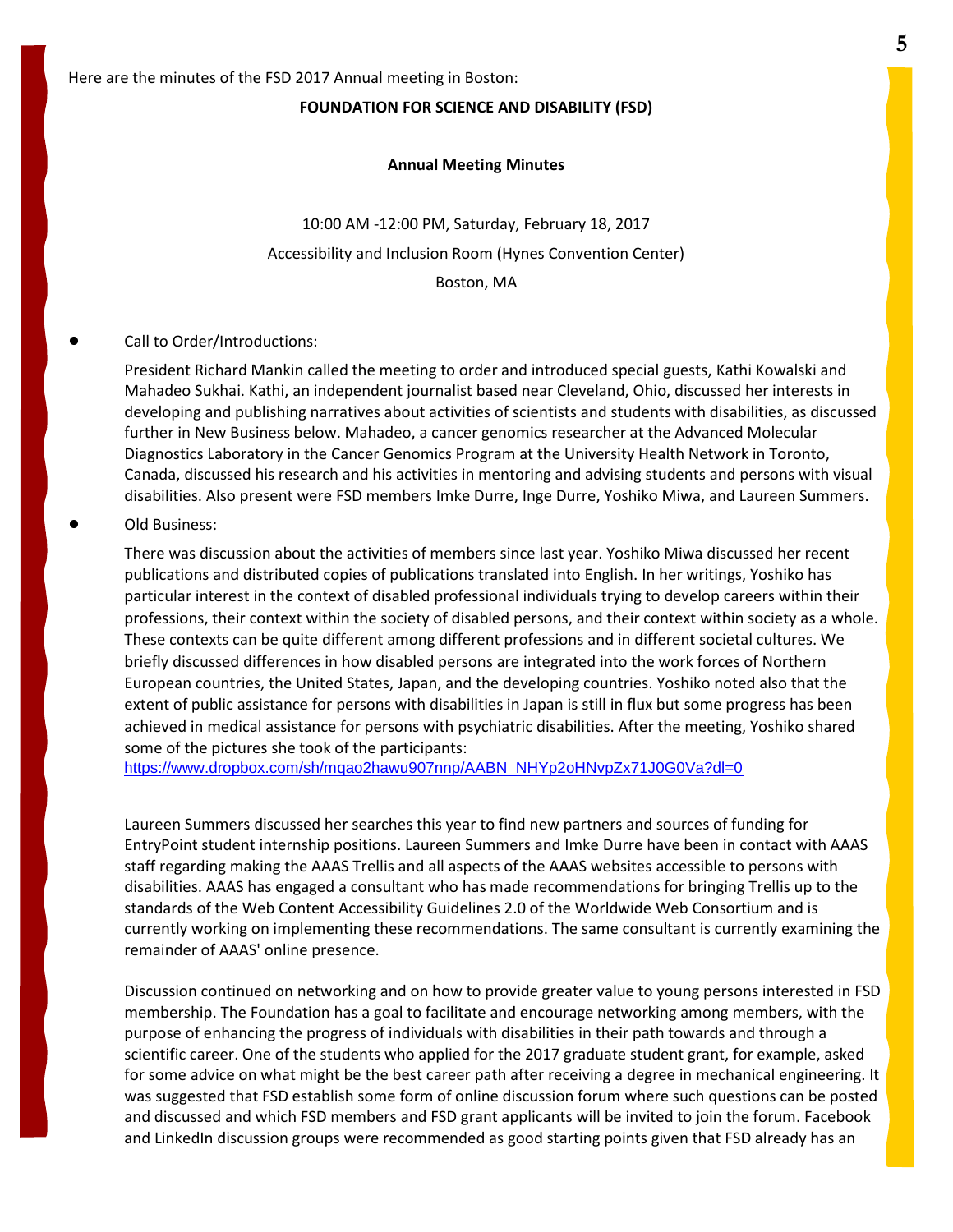#### **FOUNDATION FOR SCIENCE AND DISABILITY (FSD)**

#### **Annual Meeting Minutes**

10:00 AM -12:00 PM, Saturday, February 18, 2017 Accessibility and Inclusion Room (Hynes Convention Center) Boston, MA

#### Call to Order/Introductions:

President Richard Mankin called the meeting to order and introduced special guests, Kathi Kowalski and Mahadeo Sukhai. Kathi, an independent journalist based near Cleveland, Ohio, discussed her interests in developing and publishing narratives about activities of scientists and students with disabilities, as discussed further in New Business below. Mahadeo, a cancer genomics researcher at the Advanced Molecular Diagnostics Laboratory in the Cancer Genomics Program at the University Health Network in Toronto, Canada, discussed his research and his activities in mentoring and advising students and persons with visual disabilities. Also present were FSD members Imke Durre, Inge Durre, Yoshiko Miwa, and Laureen Summers.

Old Business:

There was discussion about the activities of members since last year. Yoshiko Miwa discussed her recent publications and distributed copies of publications translated into English. In her writings, Yoshiko has particular interest in the context of disabled professional individuals trying to develop careers within their professions, their context within the society of disabled persons, and their context within society as a whole. These contexts can be quite different among different professions and in different societal cultures. We briefly discussed differences in how disabled persons are integrated into the work forces of Northern European countries, the United States, Japan, and the developing countries. Yoshiko noted also that the extent of public assistance for persons with disabilities in Japan is still in flux but some progress has been achieved in medical assistance for persons with psychiatric disabilities. After the meeting, Yoshiko shared some of the pictures she took of the participants:

[https://www.dropbox.com/sh/mqao2hawu907nnp/AABN\\_NHYp2oHNvpZx71J0G0Va?dl=0](https://www.dropbox.com/sh/mqao2hawu907nnp/AABN_NHYp2oHNvpZx71J0G0Va?dl=0)

Laureen Summers discussed her searches this year to find new partners and sources of funding for EntryPoint student internship positions. Laureen Summers and Imke Durre have been in contact with AAAS staff regarding making the AAAS Trellis and all aspects of the AAAS websites accessible to persons with disabilities. AAAS has engaged a consultant who has made recommendations for bringing Trellis up to the standards of the Web Content Accessibility Guidelines 2.0 of the Worldwide Web Consortium and is currently working on implementing these recommendations. The same consultant is currently examining the remainder of AAAS' online presence.

Discussion continued on networking and on how to provide greater value to young persons interested in FSD membership. The Foundation has a goal to facilitate and encourage networking among members, with the purpose of enhancing the progress of individuals with disabilities in their path towards and through a scientific career. One of the students who applied for the 2017 graduate student grant, for example, asked for some advice on what might be the best career path after receiving a degree in mechanical engineering. It was suggested that FSD establish some form of online discussion forum where such questions can be posted and discussed and which FSD members and FSD grant applicants will be invited to join the forum. Facebook and LinkedIn discussion groups were recommended as good starting points given that FSD already has an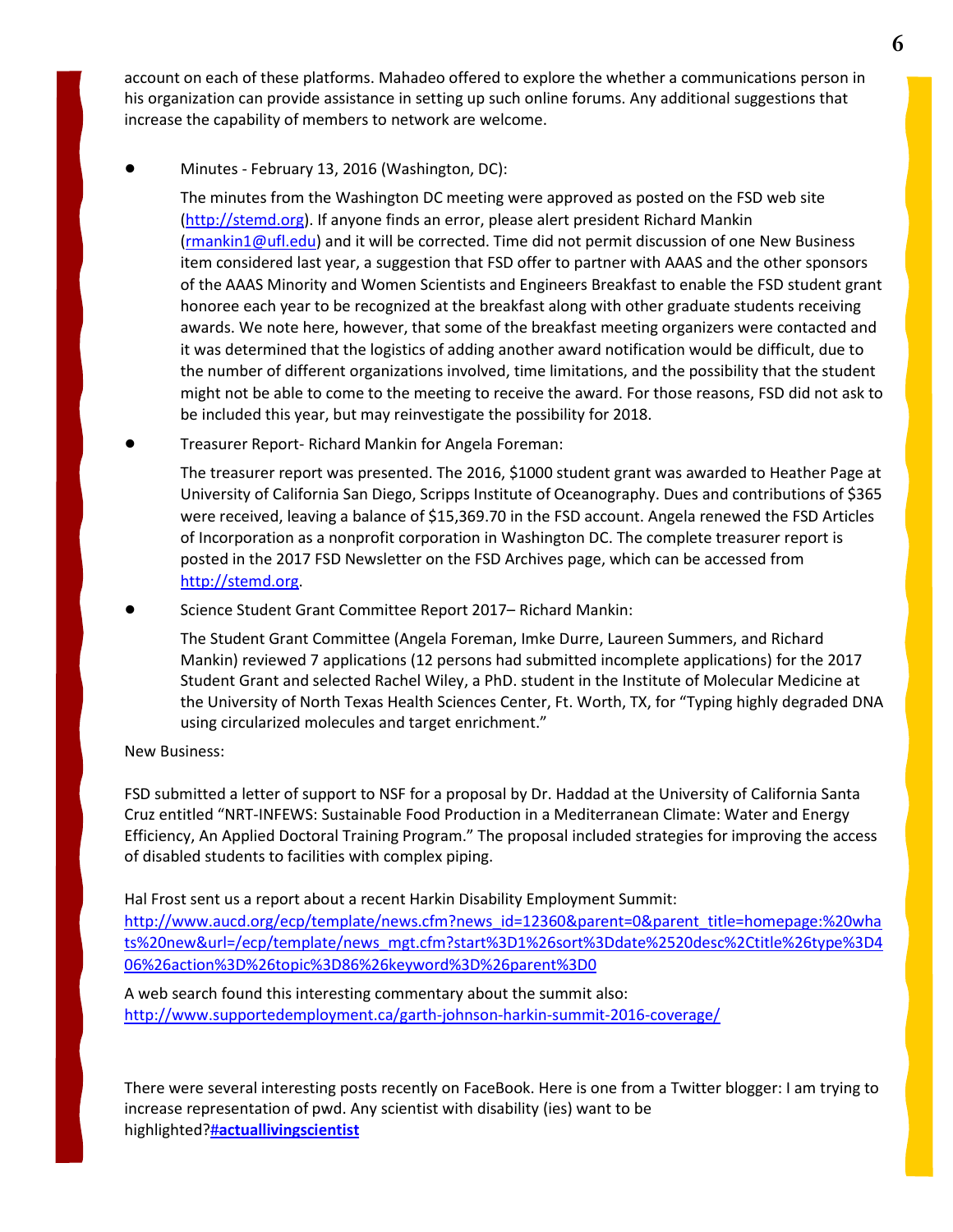account on each of these platforms. Mahadeo offered to explore the whether a communications person in his organization can provide assistance in setting up such online forums. Any additional suggestions that increase the capability of members to network are welcome.

! Minutes - February 13, 2016 (Washington, DC):

The minutes from the Washington DC meeting were approved as posted on the FSD web site [\(http://stemd.org\)](http://stemd.org/). If anyone finds an error, please alert president Richard Mankin [\(rmankin1@ufl.edu\)](mailto:rmankin1@ufl.edu) and it will be corrected. Time did not permit discussion of one New Business item considered last year, a suggestion that FSD offer to partner with AAAS and the other sponsors of the AAAS Minority and Women Scientists and Engineers Breakfast to enable the FSD student grant honoree each year to be recognized at the breakfast along with other graduate students receiving awards. We note here, however, that some of the breakfast meeting organizers were contacted and it was determined that the logistics of adding another award notification would be difficult, due to the number of different organizations involved, time limitations, and the possibility that the student might not be able to come to the meeting to receive the award. For those reasons, FSD did not ask to be included this year, but may reinvestigate the possibility for 2018.

! Treasurer Report- Richard Mankin for Angela Foreman:

The treasurer report was presented. The 2016, \$1000 student grant was awarded to Heather Page at University of California San Diego, Scripps Institute of Oceanography. Dues and contributions of \$365 were received, leaving a balance of \$15,369.70 in the FSD account. Angela renewed the FSD Articles of Incorporation as a nonprofit corporation in Washington DC. The complete treasurer report is posted in the 2017 FSD Newsletter on the FSD Archives page, which can be accessed from [http://stemd.org.](http://stemd.org/)

Science Student Grant Committee Report 2017– Richard Mankin:

The Student Grant Committee (Angela Foreman, Imke Durre, Laureen Summers, and Richard Mankin) reviewed 7 applications (12 persons had submitted incomplete applications) for the 2017 Student Grant and selected Rachel Wiley, a PhD. student in the Institute of Molecular Medicine at the University of North Texas Health Sciences Center, Ft. Worth, TX, for "Typing highly degraded DNA using circularized molecules and target enrichment."

#### **New Business:**

FSD submitted a letter of support to NSF for a proposal by Dr. Haddad at the University of California Santa Cruz entitled "NRT-INFEWS: Sustainable Food Production in a Mediterranean Climate: Water and Energy Efficiency, An Applied Doctoral Training Program." The proposal included strategies for improving the access of disabled students to facilities with complex piping.

Hal Frost sent us a report about a recent Harkin Disability Employment Summit:

[http://www.aucd.org/ecp/template/news.cfm?news\\_id=12360&parent=0&parent\\_title=homepage:%20wha](http://www.aucd.org/ecp/template/news.cfm?news_id=12360&parent=0&parent_title=homepage:%20whats%20new&url=/ecp/template/news_mgt.cfm?start%3D1%26sort%3Ddate%2520desc%2Ctitle%26type%3D406%26action%3D%26topic%3D86%26keyword%3D%26parent%3D0) [ts%20new&url=/ecp/template/news\\_mgt.cfm?start%3D1%26sort%3Ddate%2520desc%2Ctitle%26type%3D4](http://www.aucd.org/ecp/template/news.cfm?news_id=12360&parent=0&parent_title=homepage:%20whats%20new&url=/ecp/template/news_mgt.cfm?start%3D1%26sort%3Ddate%2520desc%2Ctitle%26type%3D406%26action%3D%26topic%3D86%26keyword%3D%26parent%3D0) [06%26action%3D%26topic%3D86%26keyword%3D%26parent%3D0](http://www.aucd.org/ecp/template/news.cfm?news_id=12360&parent=0&parent_title=homepage:%20whats%20new&url=/ecp/template/news_mgt.cfm?start%3D1%26sort%3Ddate%2520desc%2Ctitle%26type%3D406%26action%3D%26topic%3D86%26keyword%3D%26parent%3D0)

A web search found this interesting commentary about the summit also: <http://www.supportedemployment.ca/garth-johnson-harkin-summit-2016-coverage/>

There were several interesting posts recently on FaceBook. Here is one from a Twitter blogger: I am trying to increase representation of pwd. Any scientist with disability (ies) want to be highlighted?#**[actuallivingscientist](https://twitter.com/hashtag/actuallivingscientist?src=hash)**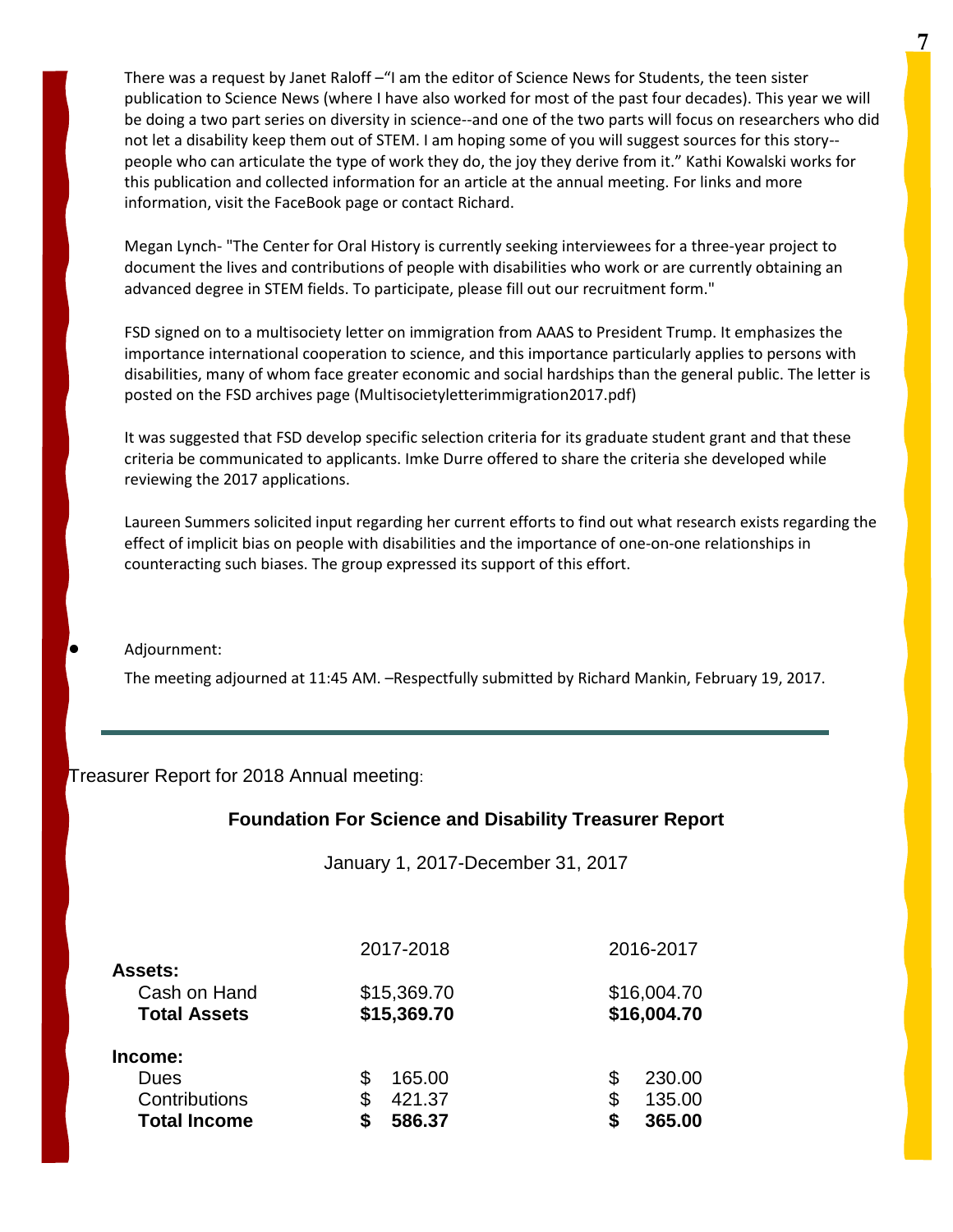There was a request by Janet Raloff –"I am the editor of Science News for Students, the teen sister publication to Science News (where I have also worked for most of the past four decades). This year we will be doing a two part series on diversity in science--and one of the two parts will focus on researchers who did not let a disability keep them out of STEM. I am hoping some of you will suggest sources for this story- people who can articulate the type of work they do, the joy they derive from it." Kathi Kowalski works for this publication and collected information for an article at the annual meeting. For links and more information, visit the FaceBook page or contact Richard.

Megan Lynch- "The Center for Oral History is currently seeking interviewees for a three-year project to document the lives and contributions of people with disabilities who work or are currently obtaining an advanced degree in STEM fields. To participate, please fill out our recruitment form."

FSD signed on to a multisociety letter on immigration from AAAS to President Trump. It emphasizes the importance international cooperation to science, and this importance particularly applies to persons with disabilities, many of whom face greater economic and social hardships than the general public. The letter is posted on the FSD archives page (Multisocietyletterimmigration2017.pdf)

It was suggested that FSD develop specific selection criteria for its graduate student grant and that these criteria be communicated to applicants. Imke Durre offered to share the criteria she developed while reviewing the 2017 applications.

Laureen Summers solicited input regarding her current efforts to find out what research exists regarding the effect of implicit bias on people with disabilities and the importance of one-on-one relationships in counteracting such biases. The group expressed its support of this effort.

Adjournment:

The meeting adjourned at 11:45 AM. - Respectfully submitted by Richard Mankin, February 19, 2017.

Treasurer Report for 2018 Annual meeting:

### **Foundation For Science and Disability Treasurer Report**

January 1, 2017-December 31, 2017

|                                                       | 2017-2018                  | 2016-2017                  |
|-------------------------------------------------------|----------------------------|----------------------------|
| <b>Assets:</b><br>Cash on Hand<br><b>Total Assets</b> | \$15,369.70<br>\$15,369.70 | \$16,004.70<br>\$16,004.70 |
| Income:                                               |                            |                            |
| Dues                                                  | 165.00                     | 230.00<br>S                |
| Contributions                                         | 421.37                     | 135.00<br>\$               |
| <b>Total Income</b>                                   | 586.37                     | 365.00                     |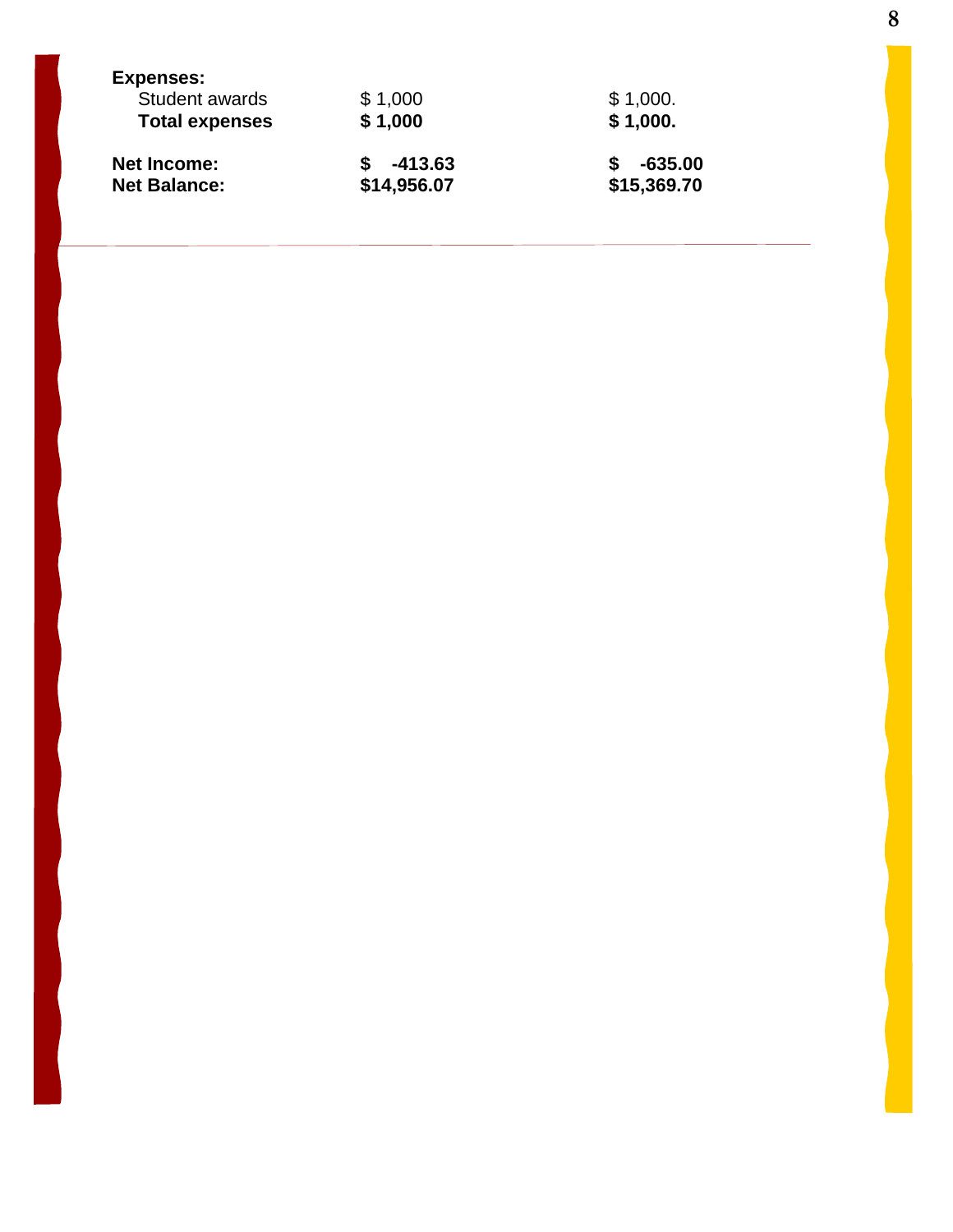| <b>Expenses:</b>      |             |             |
|-----------------------|-------------|-------------|
| Student awards        | \$1,000     | \$1,000.    |
| <b>Total expenses</b> | \$1,000     | \$1,000.    |
| <b>Net Income:</b>    | -413.63     | $-635.00$   |
| <b>Net Balance:</b>   | \$14,956.07 | \$15,369.70 |